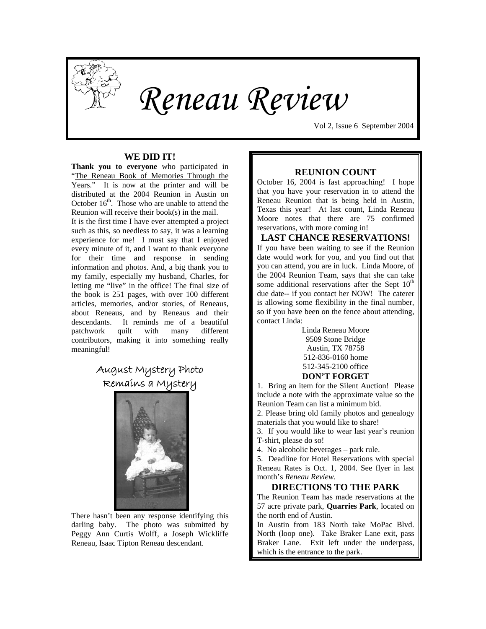

# *Reneau Review*

Vol 2, Issue 6 September 2004

#### **WE DID IT!**

**Thank you to everyone** who participated in "The Reneau Book of Memories Through the Years." It is now at the printer and will be distributed at the 2004 Reunion in Austin on October  $16<sup>th</sup>$ . Those who are unable to attend the Reunion will receive their book(s) in the mail.

It is the first time I have ever attempted a project such as this, so needless to say, it was a learning experience for me! I must say that I enjoyed every minute of it, and I want to thank everyone for their time and response in sending information and photos. And, a big thank you to my family, especially my husband, Charles, for letting me "live" in the office! The final size of the book is 251 pages, with over 100 different articles, memories, and/or stories, of Reneaus, about Reneaus, and by Reneaus and their descendants. It reminds me of a beautiful patchwork quilt with many different contributors, making it into something really meaningful!

## August Mystery Photo Remains a Mystery



 There hasn't been any response identifying this darling baby. The photo was submitted by Peggy Ann Curtis Wolff, a Joseph Wickliffe Reneau, Isaac Tipton Reneau descendant.

#### **REUNION COUNT**

October 16, 2004 is fast approaching! I hope that you have your reservation in to attend the Reneau Reunion that is being held in Austin, Texas this year! At last count, Linda Reneau Moore notes that there are 75 confirmed reservations, with more coming in!

**LAST CHANCE RESERVATIONS!**  If you have been waiting to see if the Reunion date would work for you, and you find out that you can attend, you are in luck. Linda Moore, of the 2004 Reunion Team, says that she can take some additional reservations after the Sept  $10<sup>th</sup>$ due date-- if you contact her NOW! The caterer is allowing some flexibility in the final number, so if you have been on the fence about attending, contact Linda:

> Linda Reneau Moore 9509 Stone Bridge Austin, TX 78758 512-836-0160 home 512-345-2100 office

#### **DON'T FORGET**

1. Bring an item for the Silent Auction! Please include a note with the approximate value so the Reunion Team can list a minimum bid.

2. Please bring old family photos and genealogy materials that you would like to share!

3. If you would like to wear last year's reunion T-shirt, please do so!

4. No alcoholic beverages – park rule.

5. Deadline for Hotel Reservations with special Reneau Rates is Oct. 1, 2004. See flyer in last month's *Reneau Review*.

#### **DIRECTIONS TO THE PARK**

The Reunion Team has made reservations at the 57 acre private park, **Quarries Park**, located on the north end of Austin.

In Austin from 183 North take MoPac Blvd. North (loop one). Take Braker Lane exit, pass Braker Lane. Exit left under the underpass, which is the entrance to the park.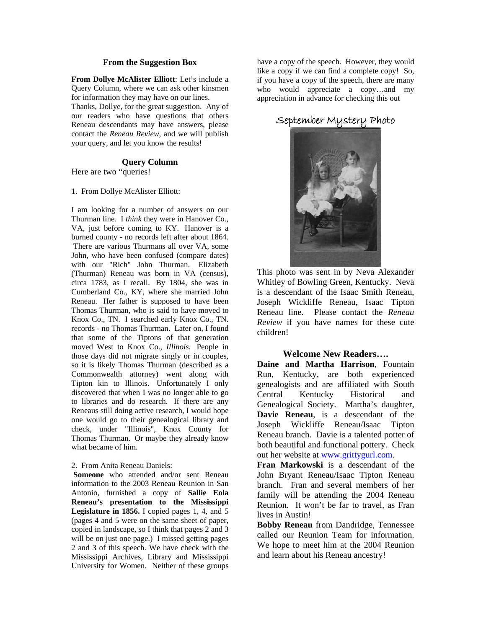#### **From the Suggestion Box**

**From Dollye McAlister Elliott**: Let's include a Query Column, where we can ask other kinsmen for information they may have on our lines.

Thanks, Dollye, for the great suggestion. Any of our readers who have questions that others Reneau descendants may have answers, please contact the *Reneau Review*, and we will publish your query, and let you know the results!

#### **Query Column**

Here are two "queries!

1. From Dollye McAlister Elliott:

I am looking for a number of answers on our Thurman line. I *think* they were in Hanover Co., VA, just before coming to KY. Hanover is a burned county - no records left after about 1864. There are various Thurmans all over VA, some John, who have been confused (compare dates) with our "Rich" John Thurman. Elizabeth (Thurman) Reneau was born in VA (census), circa 1783, as I recall. By 1804, she was in Cumberland Co., KY, where she married John Reneau. Her father is supposed to have been Thomas Thurman, who is said to have moved to Knox Co., TN. I searched early Knox Co., TN. records - no Thomas Thurman. Later on, I found that some of the Tiptons of that generation moved West to Knox Co., *Illinois.* People in those days did not migrate singly or in couples, so it is likely Thomas Thurman (described as a Commonwealth attorney) went along with Tipton kin to Illinois. Unfortunately I only discovered that when I was no longer able to go to libraries and do research. If there are any Reneaus still doing active research, I would hope one would go to their genealogical library and check, under "Illinois", Knox County for Thomas Thurman. Or maybe they already know what became of him.

#### 2. From Anita Reneau Daniels:

**Someone** who attended and/or sent Reneau information to the 2003 Reneau Reunion in San Antonio, furnished a copy of **Sallie Eola Reneau's presentation to the Mississippi Legislature in 1856.** I copied pages 1, 4, and 5 (pages 4 and 5 were on the same sheet of paper, copied in landscape, so I think that pages 2 and 3 will be on just one page.) I missed getting pages 2 and 3 of this speech. We have check with the Mississippi Archives, Library and Mississippi University for Women. Neither of these groups

have a copy of the speech. However, they would like a copy if we can find a complete copy! So, if you have a copy of the speech, there are many who would appreciate a copy…and my appreciation in advance for checking this out

### September Mystery Photo



This photo was sent in by Neva Alexander Whitley of Bowling Green, Kentucky. Neva is a descendant of the Isaac Smith Reneau, Joseph Wickliffe Reneau, Isaac Tipton Reneau line. Please contact the *Reneau Review* if you have names for these cute children!

#### **Welcome New Readers….**

**Daine and Martha Harrison**, Fountain Run, Kentucky, are both experienced genealogists and are affiliated with South Central Kentucky Historical and Genealogical Society. Martha's daughter, **Davie Reneau**, is a descendant of the Joseph Wickliffe Reneau/Isaac Tipton Reneau branch. Davie is a talented potter of both beautiful and functional pottery. Check out her website at [www.grittygurl.com.](http://www.grittygurl.com/)

**Fran Markowski** is a descendant of the John Bryant Reneau/Isaac Tipton Reneau branch. Fran and several members of her family will be attending the 2004 Reneau Reunion. It won't be far to travel, as Fran lives in Austin!

**Bobby Reneau** from Dandridge, Tennessee called our Reunion Team for information. We hope to meet him at the 2004 Reunion and learn about his Reneau ancestry!